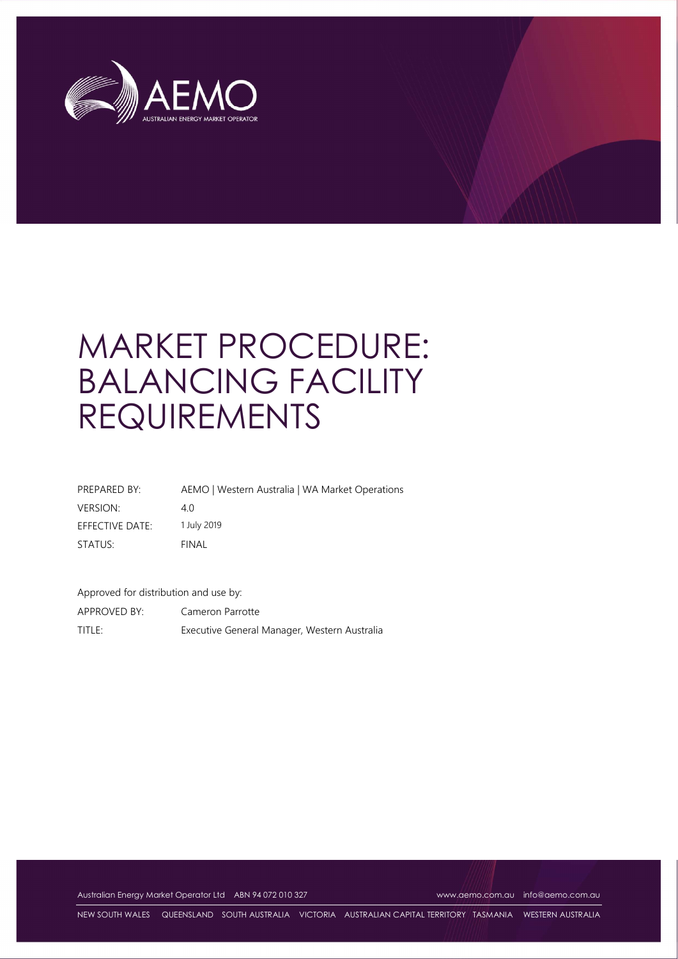

# MARKET PROCEDURE: BALANCING FACILITY REQUIREMENTS

| PREPARED BY:    | AEMO   Western Australia   WA Market Operations |
|-----------------|-------------------------------------------------|
| <b>VERSION:</b> | 40                                              |
| EFFECTIVE DATE: | 1 July 2019                                     |
| STATUS:         | FINAL                                           |

Approved for distribution and use by:

APPROVED BY: Cameron Parrotte TITLE: Executive General Manager, Western Australia

Australian Energy Market Operator Ltd ABN 94 072 010 327 www.aemo.com.au info@aemo.com.au

NEW SOUTH WALES QUEENSLAND SOUTH AUSTRALIA VICTORIA AUSTRALIAN CAPITAL TERRITORY TASMANIA WESTERN AUSTRALIA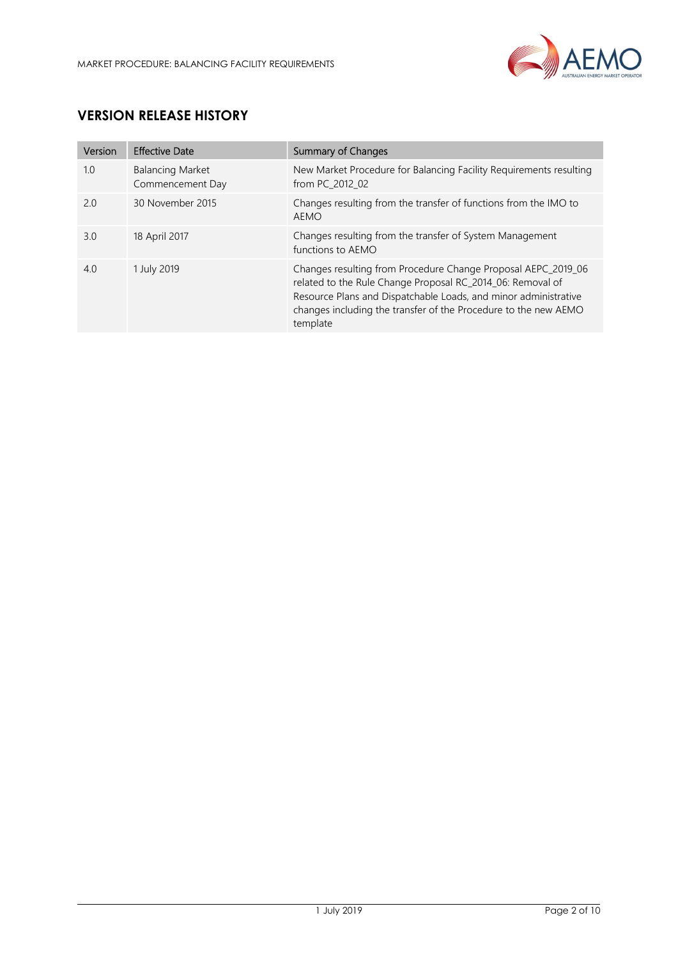

# VERSION RELEASE HISTORY

| Version | <b>Effective Date</b>                       | <b>Summary of Changes</b>                                                                                                                                                                                                                                                     |
|---------|---------------------------------------------|-------------------------------------------------------------------------------------------------------------------------------------------------------------------------------------------------------------------------------------------------------------------------------|
| 1.0     | <b>Balancing Market</b><br>Commencement Day | New Market Procedure for Balancing Facility Requirements resulting<br>from PC 2012 02                                                                                                                                                                                         |
| 2.0     | 30 November 2015                            | Changes resulting from the transfer of functions from the IMO to<br><b>AEMO</b>                                                                                                                                                                                               |
| 3.0     | 18 April 2017                               | Changes resulting from the transfer of System Management<br>functions to AEMO                                                                                                                                                                                                 |
| 4.0     | 1 July 2019                                 | Changes resulting from Procedure Change Proposal AEPC_2019_06<br>related to the Rule Change Proposal RC 2014 06: Removal of<br>Resource Plans and Dispatchable Loads, and minor administrative<br>changes including the transfer of the Procedure to the new AEMO<br>template |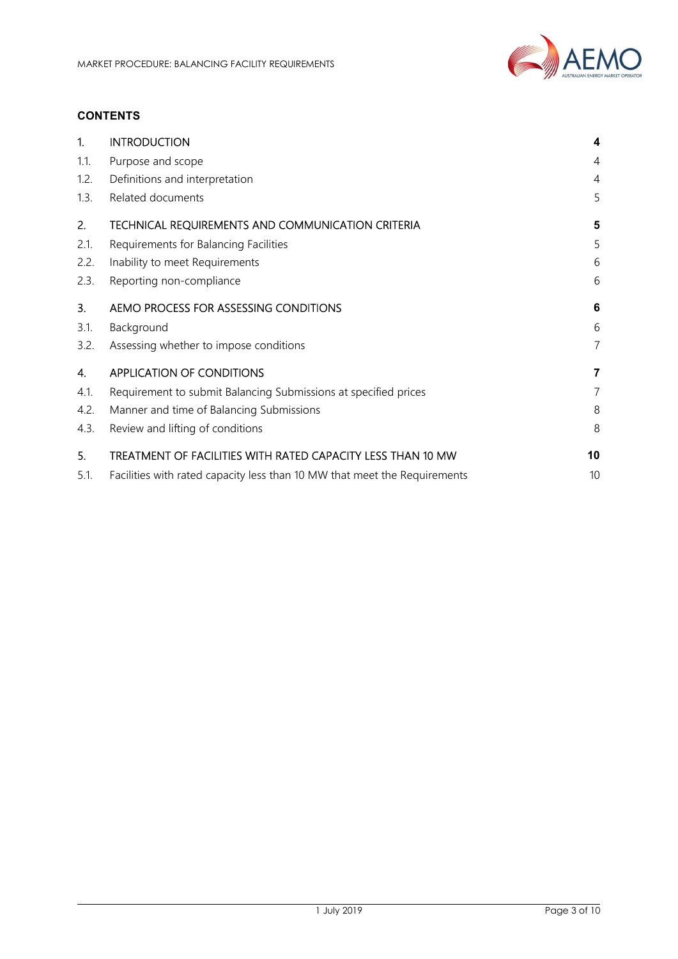

## **CONTENTS**

| 1.   | <b>INTRODUCTION</b>                                                       | 4              |
|------|---------------------------------------------------------------------------|----------------|
| 1.1. | Purpose and scope                                                         | 4              |
| 1.2. | Definitions and interpretation                                            | 4              |
| 1.3. | Related documents                                                         | 5              |
| 2.   | TECHNICAL REQUIREMENTS AND COMMUNICATION CRITERIA                         | 5              |
| 2.1. | Requirements for Balancing Facilities                                     | 5              |
| 2.2. | Inability to meet Requirements                                            | 6              |
| 2.3. | Reporting non-compliance                                                  | 6              |
| 3.   | AEMO PROCESS FOR ASSESSING CONDITIONS                                     | 6              |
| 3.1. | Background                                                                | 6              |
| 3.2. | Assessing whether to impose conditions                                    | 7              |
| 4.   | <b>APPLICATION OF CONDITIONS</b>                                          | 7              |
| 4.1. | Requirement to submit Balancing Submissions at specified prices           | $\overline{7}$ |
| 4.2. | Manner and time of Balancing Submissions                                  | 8              |
| 4.3. | Review and lifting of conditions                                          | 8              |
| 5.   | TREATMENT OF FACILITIES WITH RATED CAPACITY LESS THAN 10 MW               | 10             |
| 5.1. | Facilities with rated capacity less than 10 MW that meet the Requirements | 10             |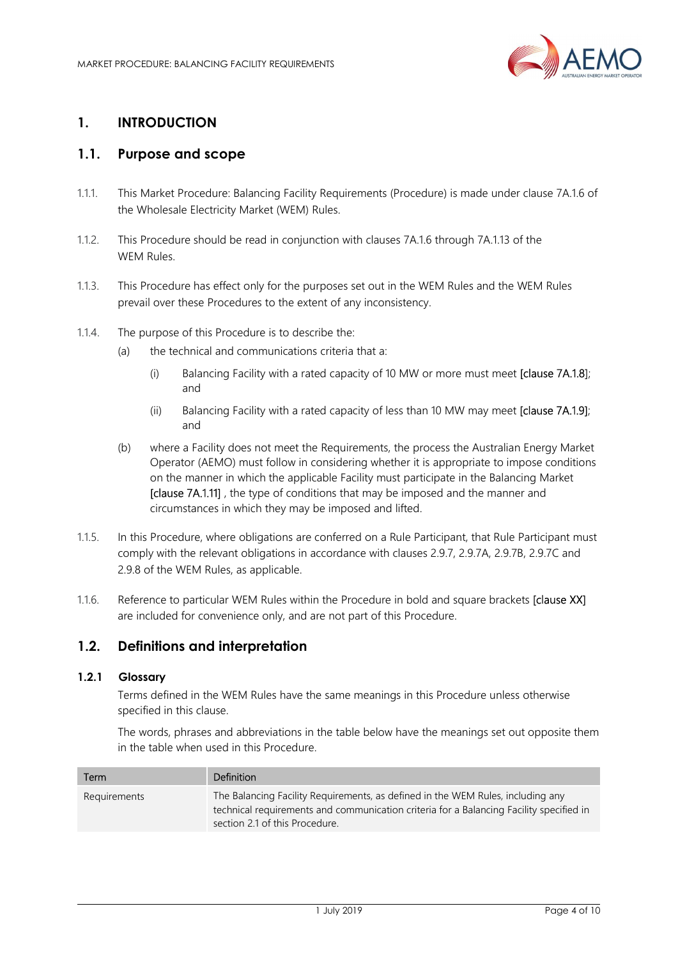

# 1. INTRODUCTION

## 1.1. Purpose and scope

- 1.1.1. This Market Procedure: Balancing Facility Requirements (Procedure) is made under clause 7A.1.6 of the Wholesale Electricity Market (WEM) Rules.
- 1.1.2. This Procedure should be read in conjunction with clauses 7A.1.6 through 7A.1.13 of the WEM Rules.
- 1.1.3. This Procedure has effect only for the purposes set out in the WEM Rules and the WEM Rules prevail over these Procedures to the extent of any inconsistency.
- 1.1.4. The purpose of this Procedure is to describe the:
	- (a) the technical and communications criteria that a:
		- (i) Balancing Facility with a rated capacity of 10 MW or more must meet  $\text{Iclause 7A.1.8}$ and
		- (ii) Balancing Facility with a rated capacity of less than 10 MW may meet [clause 7A.1.9]; and
	- (b) where a Facility does not meet the Requirements, the process the Australian Energy Market Operator (AEMO) must follow in considering whether it is appropriate to impose conditions on the manner in which the applicable Facility must participate in the Balancing Market [clause 7A.1.11] , the type of conditions that may be imposed and the manner and circumstances in which they may be imposed and lifted.
- 1.1.5. In this Procedure, where obligations are conferred on a Rule Participant, that Rule Participant must comply with the relevant obligations in accordance with clauses 2.9.7, 2.9.7A, 2.9.7B, 2.9.7C and 2.9.8 of the WEM Rules, as applicable.
- 1.1.6. Reference to particular WEM Rules within the Procedure in bold and square brackets [clause XX] are included for convenience only, and are not part of this Procedure.

#### 1.2. Definitions and interpretation

#### 1.2.1 Glossary

Terms defined in the WEM Rules have the same meanings in this Procedure unless otherwise specified in this clause.

The words, phrases and abbreviations in the table below have the meanings set out opposite them in the table when used in this Procedure.

| Term         | <b>Definition</b>                                                                                                                                                                                            |
|--------------|--------------------------------------------------------------------------------------------------------------------------------------------------------------------------------------------------------------|
| Requirements | The Balancing Facility Requirements, as defined in the WEM Rules, including any<br>technical requirements and communication criteria for a Balancing Facility specified in<br>section 2.1 of this Procedure. |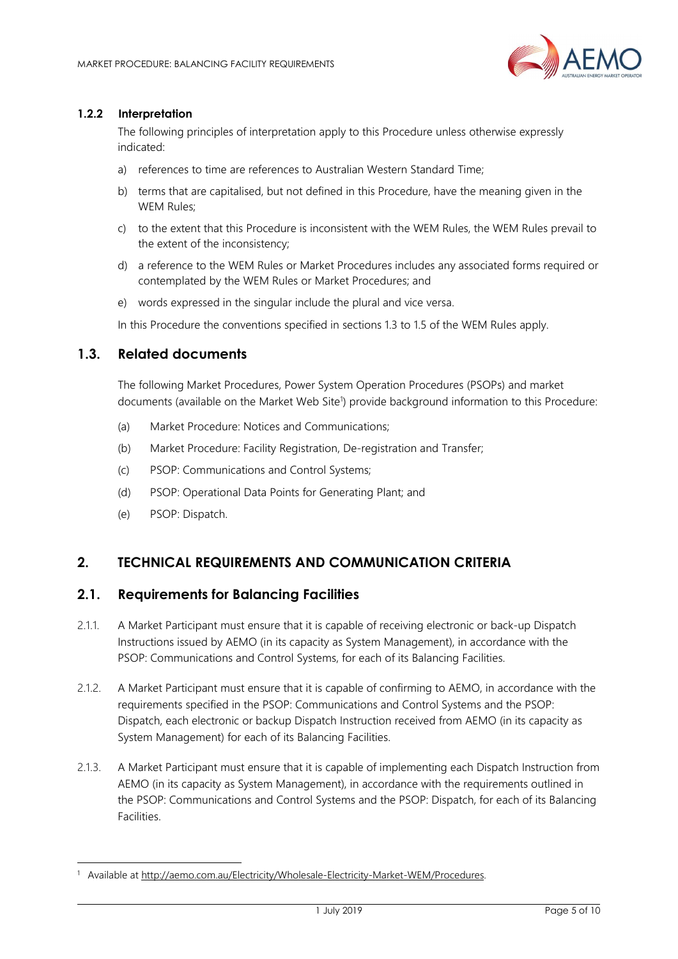

#### 1.2.2 Interpretation

The following principles of interpretation apply to this Procedure unless otherwise expressly indicated:

- a) references to time are references to Australian Western Standard Time;
- b) terms that are capitalised, but not defined in this Procedure, have the meaning given in the WEM Rules;
- c) to the extent that this Procedure is inconsistent with the WEM Rules, the WEM Rules prevail to the extent of the inconsistency;
- d) a reference to the WEM Rules or Market Procedures includes any associated forms required or contemplated by the WEM Rules or Market Procedures; and
- e) words expressed in the singular include the plural and vice versa.

In this Procedure the conventions specified in sections 1.3 to 1.5 of the WEM Rules apply.

#### 1.3. Related documents

The following Market Procedures, Power System Operation Procedures (PSOPs) and market documents (available on the Market Web Site<sup>1</sup>) provide background information to this Procedure:

- (a) Market Procedure: Notices and Communications;
- (b) Market Procedure: Facility Registration, De-registration and Transfer;
- (c) PSOP: Communications and Control Systems;
- (d) PSOP: Operational Data Points for Generating Plant; and
- (e) PSOP: Dispatch.

-

#### 2. TECHNICAL REQUIREMENTS AND COMMUNICATION CRITERIA

#### 2.1. Requirements for Balancing Facilities

- 2.1.1. A Market Participant must ensure that it is capable of receiving electronic or back-up Dispatch Instructions issued by AEMO (in its capacity as System Management), in accordance with the PSOP: Communications and Control Systems, for each of its Balancing Facilities.
- 2.1.2. A Market Participant must ensure that it is capable of confirming to AEMO, in accordance with the requirements specified in the PSOP: Communications and Control Systems and the PSOP: Dispatch, each electronic or backup Dispatch Instruction received from AEMO (in its capacity as System Management) for each of its Balancing Facilities.
- 2.1.3. A Market Participant must ensure that it is capable of implementing each Dispatch Instruction from AEMO (in its capacity as System Management), in accordance with the requirements outlined in the PSOP: Communications and Control Systems and the PSOP: Dispatch, for each of its Balancing Facilities.

<sup>&</sup>lt;sup>1</sup> Available at http://aemo.com.au/Electricity/Wholesale-Electricity-Market-WEM/Procedures.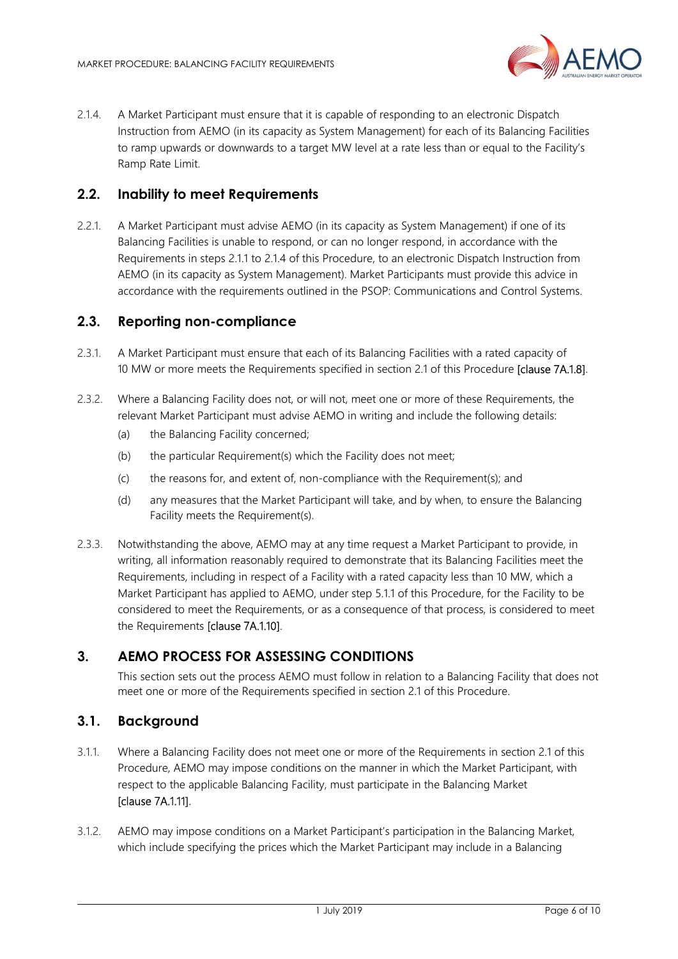

2.1.4. A Market Participant must ensure that it is capable of responding to an electronic Dispatch Instruction from AEMO (in its capacity as System Management) for each of its Balancing Facilities to ramp upwards or downwards to a target MW level at a rate less than or equal to the Facility's Ramp Rate Limit.

## 2.2. Inability to meet Requirements

2.2.1. A Market Participant must advise AEMO (in its capacity as System Management) if one of its Balancing Facilities is unable to respond, or can no longer respond, in accordance with the Requirements in steps 2.1.1 to 2.1.4 of this Procedure, to an electronic Dispatch Instruction from AEMO (in its capacity as System Management). Market Participants must provide this advice in accordance with the requirements outlined in the PSOP: Communications and Control Systems.

#### 2.3. Reporting non-compliance

- 2.3.1. A Market Participant must ensure that each of its Balancing Facilities with a rated capacity of 10 MW or more meets the Requirements specified in section 2.1 of this Procedure [clause 7A.1.8].
- 2.3.2. Where a Balancing Facility does not, or will not, meet one or more of these Requirements, the relevant Market Participant must advise AEMO in writing and include the following details:
	- (a) the Balancing Facility concerned;
	- (b) the particular Requirement(s) which the Facility does not meet;
	- (c) the reasons for, and extent of, non-compliance with the Requirement(s); and
	- (d) any measures that the Market Participant will take, and by when, to ensure the Balancing Facility meets the Requirement(s).
- 2.3.3. Notwithstanding the above, AEMO may at any time request a Market Participant to provide, in writing, all information reasonably required to demonstrate that its Balancing Facilities meet the Requirements, including in respect of a Facility with a rated capacity less than 10 MW, which a Market Participant has applied to AEMO, under step 5.1.1 of this Procedure, for the Facility to be considered to meet the Requirements, or as a consequence of that process, is considered to meet the Requirements [clause 7A.1.10].

## 3. AEMO PROCESS FOR ASSESSING CONDITIONS

This section sets out the process AEMO must follow in relation to a Balancing Facility that does not meet one or more of the Requirements specified in section 2.1 of this Procedure.

## 3.1. Background

- 3.1.1. Where a Balancing Facility does not meet one or more of the Requirements in section 2.1 of this Procedure, AEMO may impose conditions on the manner in which the Market Participant, with respect to the applicable Balancing Facility, must participate in the Balancing Market [clause 7A.1.11].
- 3.1.2. AEMO may impose conditions on a Market Participant's participation in the Balancing Market, which include specifying the prices which the Market Participant may include in a Balancing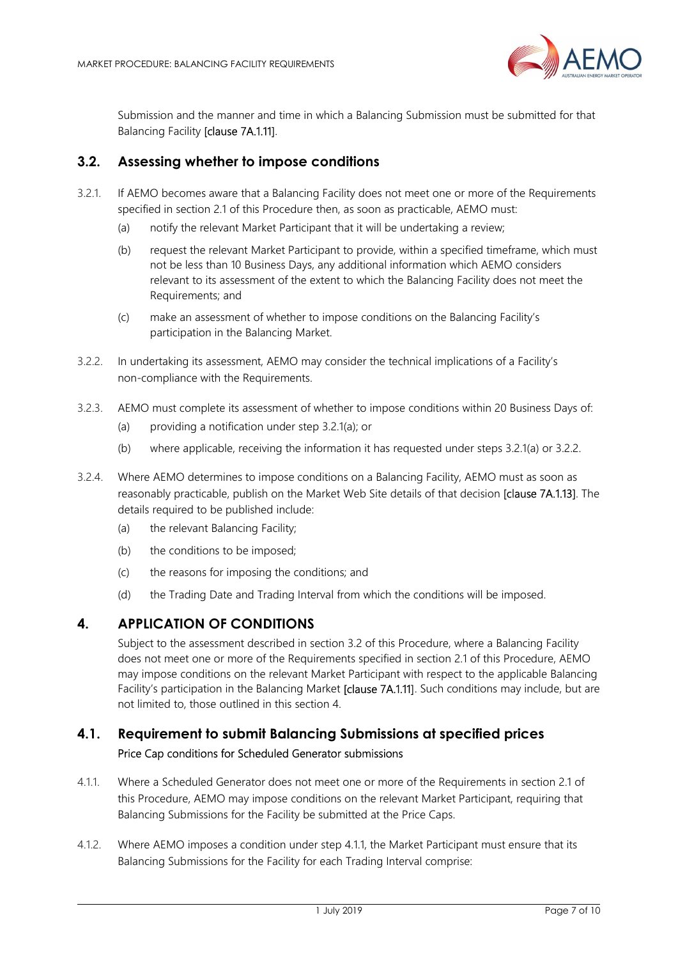

Submission and the manner and time in which a Balancing Submission must be submitted for that Balancing Facility [clause 7A.1.11].

## 3.2. Assessing whether to impose conditions

- 3.2.1. If AEMO becomes aware that a Balancing Facility does not meet one or more of the Requirements specified in section 2.1 of this Procedure then, as soon as practicable, AEMO must:
	- (a) notify the relevant Market Participant that it will be undertaking a review;
	- (b) request the relevant Market Participant to provide, within a specified timeframe, which must not be less than 10 Business Days, any additional information which AEMO considers relevant to its assessment of the extent to which the Balancing Facility does not meet the Requirements; and
	- (c) make an assessment of whether to impose conditions on the Balancing Facility's participation in the Balancing Market.
- 3.2.2. In undertaking its assessment, AEMO may consider the technical implications of a Facility's non-compliance with the Requirements.
- 3.2.3. AEMO must complete its assessment of whether to impose conditions within 20 Business Days of:
	- (a) providing a notification under step 3.2.1(a); or
	- (b) where applicable, receiving the information it has requested under steps 3.2.1(a) or 3.2.2.
- 3.2.4. Where AEMO determines to impose conditions on a Balancing Facility, AEMO must as soon as reasonably practicable, publish on the Market Web Site details of that decision [clause 7A.1.13]. The details required to be published include:
	- (a) the relevant Balancing Facility;
	- (b) the conditions to be imposed;
	- (c) the reasons for imposing the conditions; and
	- (d) the Trading Date and Trading Interval from which the conditions will be imposed.

#### 4. APPLICATION OF CONDITIONS

Subject to the assessment described in section 3.2 of this Procedure, where a Balancing Facility does not meet one or more of the Requirements specified in section 2.1 of this Procedure, AEMO may impose conditions on the relevant Market Participant with respect to the applicable Balancing Facility's participation in the Balancing Market [clause 7A.1.11]. Such conditions may include, but are not limited to, those outlined in this section 4.

# 4.1. Requirement to submit Balancing Submissions at specified prices Price Cap conditions for Scheduled Generator submissions

- 4.1.1. Where a Scheduled Generator does not meet one or more of the Requirements in section 2.1 of this Procedure, AEMO may impose conditions on the relevant Market Participant, requiring that Balancing Submissions for the Facility be submitted at the Price Caps.
- 4.1.2. Where AEMO imposes a condition under step 4.1.1, the Market Participant must ensure that its Balancing Submissions for the Facility for each Trading Interval comprise: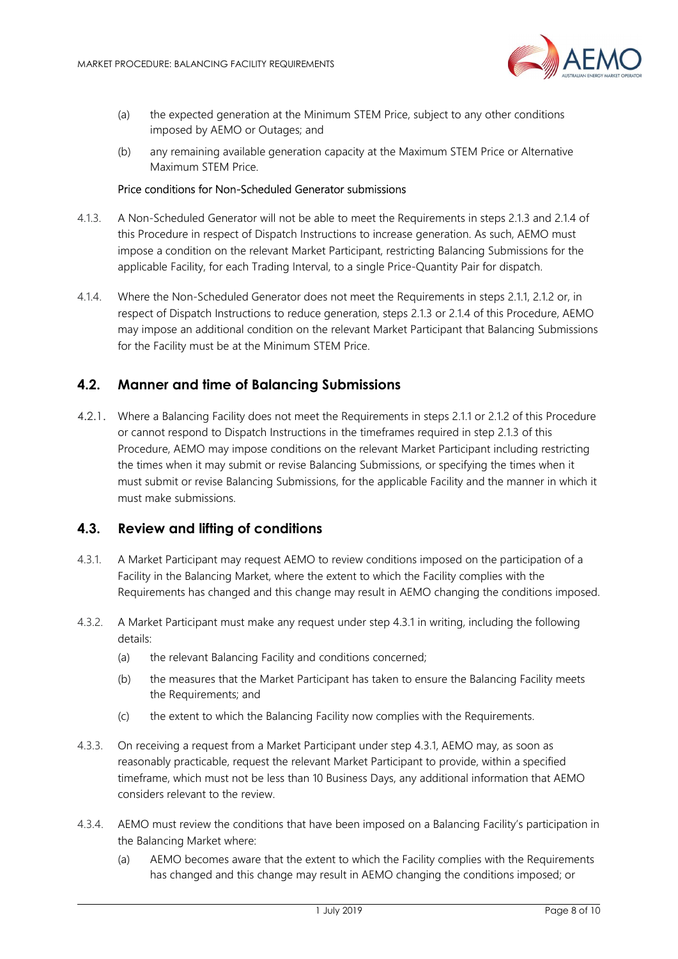

- (a) the expected generation at the Minimum STEM Price, subject to any other conditions imposed by AEMO or Outages; and
- (b) any remaining available generation capacity at the Maximum STEM Price or Alternative Maximum STEM Price.

#### Price conditions for Non-Scheduled Generator submissions

- 4.1.3. A Non-Scheduled Generator will not be able to meet the Requirements in steps 2.1.3 and 2.1.4 of this Procedure in respect of Dispatch Instructions to increase generation. As such, AEMO must impose a condition on the relevant Market Participant, restricting Balancing Submissions for the applicable Facility, for each Trading Interval, to a single Price-Quantity Pair for dispatch.
- 4.1.4. Where the Non-Scheduled Generator does not meet the Requirements in steps 2.1.1, 2.1.2 or, in respect of Dispatch Instructions to reduce generation, steps 2.1.3 or 2.1.4 of this Procedure, AEMO may impose an additional condition on the relevant Market Participant that Balancing Submissions for the Facility must be at the Minimum STEM Price.

#### 4.2. Manner and time of Balancing Submissions

4.2.1. Where a Balancing Facility does not meet the Requirements in steps 2.1.1 or 2.1.2 of this Procedure or cannot respond to Dispatch Instructions in the timeframes required in step 2.1.3 of this Procedure, AEMO may impose conditions on the relevant Market Participant including restricting the times when it may submit or revise Balancing Submissions, or specifying the times when it must submit or revise Balancing Submissions, for the applicable Facility and the manner in which it must make submissions.

#### 4.3. Review and lifting of conditions

- 4.3.1. A Market Participant may request AEMO to review conditions imposed on the participation of a Facility in the Balancing Market, where the extent to which the Facility complies with the Requirements has changed and this change may result in AEMO changing the conditions imposed.
- 4.3.2. A Market Participant must make any request under step 4.3.1 in writing, including the following details:
	- (a) the relevant Balancing Facility and conditions concerned;
	- (b) the measures that the Market Participant has taken to ensure the Balancing Facility meets the Requirements; and
	- (c) the extent to which the Balancing Facility now complies with the Requirements.
- 4.3.3. On receiving a request from a Market Participant under step 4.3.1, AEMO may, as soon as reasonably practicable, request the relevant Market Participant to provide, within a specified timeframe, which must not be less than 10 Business Days, any additional information that AEMO considers relevant to the review.
- 4.3.4. AEMO must review the conditions that have been imposed on a Balancing Facility's participation in the Balancing Market where:
	- (a) AEMO becomes aware that the extent to which the Facility complies with the Requirements has changed and this change may result in AEMO changing the conditions imposed; or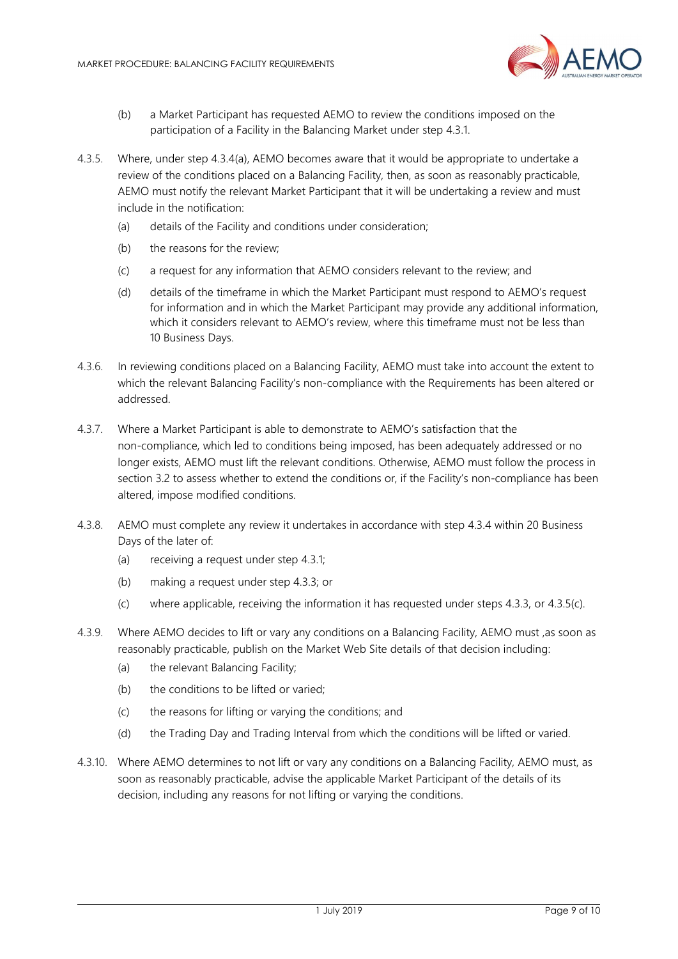

- (b) a Market Participant has requested AEMO to review the conditions imposed on the participation of a Facility in the Balancing Market under step 4.3.1.
- 4.3.5. Where, under step 4.3.4(a), AEMO becomes aware that it would be appropriate to undertake a review of the conditions placed on a Balancing Facility, then, as soon as reasonably practicable, AEMO must notify the relevant Market Participant that it will be undertaking a review and must include in the notification:
	- (a) details of the Facility and conditions under consideration;
	- (b) the reasons for the review;
	- (c) a request for any information that AEMO considers relevant to the review; and
	- (d) details of the timeframe in which the Market Participant must respond to AEMO's request for information and in which the Market Participant may provide any additional information, which it considers relevant to AEMO's review, where this timeframe must not be less than 10 Business Days.
- 4.3.6. In reviewing conditions placed on a Balancing Facility, AEMO must take into account the extent to which the relevant Balancing Facility's non-compliance with the Requirements has been altered or addressed.
- 4.3.7. Where a Market Participant is able to demonstrate to AEMO's satisfaction that the non-compliance, which led to conditions being imposed, has been adequately addressed or no longer exists, AEMO must lift the relevant conditions. Otherwise, AEMO must follow the process in section 3.2 to assess whether to extend the conditions or, if the Facility's non-compliance has been altered, impose modified conditions.
- 4.3.8. AEMO must complete any review it undertakes in accordance with step 4.3.4 within 20 Business Days of the later of:
	- (a) receiving a request under step 4.3.1;
	- (b) making a request under step 4.3.3; or
	- (c) where applicable, receiving the information it has requested under steps 4.3.3, or 4.3.5(c).
- 4.3.9. Where AEMO decides to lift or vary any conditions on a Balancing Facility, AEMO must ,as soon as reasonably practicable, publish on the Market Web Site details of that decision including:
	- (a) the relevant Balancing Facility;
	- (b) the conditions to be lifted or varied;
	- (c) the reasons for lifting or varying the conditions; and
	- (d) the Trading Day and Trading Interval from which the conditions will be lifted or varied.
- 4.3.10. Where AEMO determines to not lift or vary any conditions on a Balancing Facility, AEMO must, as soon as reasonably practicable, advise the applicable Market Participant of the details of its decision, including any reasons for not lifting or varying the conditions.